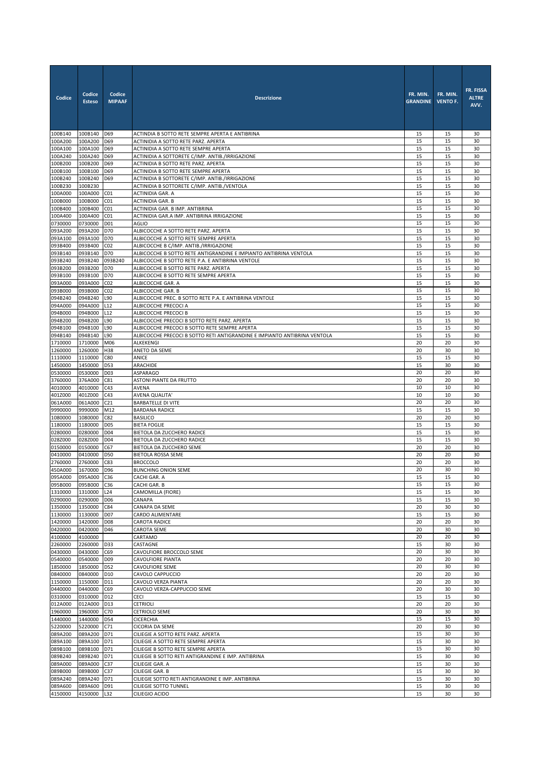| Codice             | Codice<br><b>Esteso</b> | Codice<br><b>MIPAAF</b>            | <b>Descrizione</b>                                                                                          | FR. MIN.<br><b>GRANDINE</b> | FR. MIN.<br><b>VENTO F.</b> | FR. FISSA<br><b>ALTRE</b><br>AVV. |
|--------------------|-------------------------|------------------------------------|-------------------------------------------------------------------------------------------------------------|-----------------------------|-----------------------------|-----------------------------------|
| 100B140            | 100B140                 | D69                                | ACTINDIA B SOTTO RETE SEMPRE APERTA E ANTIBRINA                                                             | 15                          | 15                          | 30                                |
| 100A200            | 100A200                 | D69                                | ACTINIDIA A SOTTO RETE PARZ. APERTA                                                                         | 15<br>15                    | 15<br>15                    | 30<br>30                          |
| 100A100<br>100A240 | 100A100<br>100A240      | D69<br>D69                         | ACTINIDIA A SOTTO RETE SEMPRE APERTA<br>ACTINIDIA A SOTTORETE C/IMP. ANTIB./IRRIGAZIONE                     | 15                          | 15                          | 30                                |
| 100B200            | 100B200                 | D69                                | ACTINIDIA B SOTTO RETE PARZ. APERTA                                                                         | 15                          | 15                          | 30                                |
| 100B100            | 100B100                 | D69                                | ACTINIDIA B SOTTO RETE SEMPRE APERTA                                                                        | 15                          | 15                          | 30                                |
| 100B240            | 100B240                 | D69                                | ACTINIDIA B SOTTORETE C/IMP. ANTIB./IRRIGAZIONE                                                             | 15                          | 15                          | 30                                |
| 100B230            | 100B230                 |                                    | ACTINIDIA B SOTTORETE C/IMP. ANTIB./VENTOLA                                                                 | 15                          | 15                          | 30                                |
| 100A000<br>100B000 | 100A000<br>100B000      | CO <sub>1</sub><br>CO <sub>1</sub> | ACTINIDIA GAR. A<br>ACTINIDIA GAR. B                                                                        | 15<br>15                    | 15<br>$15\,$                | 30<br>30                          |
| 100B400            | 100B400                 | CO <sub>1</sub>                    | ACTINIDIA GAR. B IMP. ANTIBRINA                                                                             | 15                          | 15                          | 30                                |
| 100A400            | 100A400                 | CO <sub>1</sub>                    | ACTINIDIA GAR.A IMP. ANTIBRINA IRRIGAZIONE                                                                  | 15                          | 15                          | 30                                |
| 0730000            | 0730000                 | D01                                | <b>AGLIO</b>                                                                                                | 15                          | 15                          | 30                                |
| 093A200            | 093A200                 | D70                                | ALBICOCCHE A SOTTO RETE PARZ. APERTA                                                                        | 15                          | 15                          | 30                                |
| 093A100            | 093A100                 | D70                                | ALBICOCCHE A SOTTO RETE SEMPRE APERTA                                                                       | 15<br>15                    | 15                          | 30                                |
| 093B400<br>093B140 | 093B400<br>093B140      | CO <sub>2</sub><br>D70             | ALBICOCCHE B C/IMP. ANTIB./IRRIGAZIONE<br>ALBICOCCHE B SOTTO RETE ANTIGRANDINE E IMPIANTO ANTIBRINA VENTOLA | 15                          | 15<br>15                    | 30<br>30                          |
| 093B240            | 093B240                 | 093B240                            | ALBICOCCHE B SOTTO RETE P.A. E ANTIBRINA VENTOLE                                                            | 15                          | 15                          | 30                                |
| 093B200            | 093B200                 | D70                                | ALBICOCCHE B SOTTO RETE PARZ. APERTA                                                                        | 15                          | 15                          | 30                                |
| 093B100            | 093B100                 | D70                                | ALBICOCCHE B SOTTO RETE SEMPRE APERTA                                                                       | 15                          | 15                          | 30                                |
| 093A000            | 093A000                 | CO <sub>2</sub>                    | ALBICOCCHE GAR. A                                                                                           | 15                          | 15                          | 30                                |
| 093B000            | 093B000                 | CO <sub>2</sub><br>L90             | ALBICOCCHE GAR. B<br>ALBICOCCHE PREC. B SOTTO RETE P.A. E ANTIBRINA VENTOLE                                 | 15<br>15                    | 15<br>15                    | 30<br>30                          |
| 094B240<br>094A000 | 094B240<br>094A000      | L12                                | ALBICOCCHE PRECOCI A                                                                                        | 15                          | 15                          | 30                                |
| 094B000            | 094B000                 | L12                                | ALBICOCCHE PRECOCI B                                                                                        | 15                          | 15                          | 30                                |
| 094B200            | 094B200                 | L90                                | ALBICOCCHE PRECOCI B SOTTO RETE PARZ. APERTA                                                                | 15                          | 15                          | 30                                |
| 094B100            | 094B100                 | L90                                | ALBICOCCHE PRECOCI B SOTTO RETE SEMPRE APERTA                                                               | 15                          | 15                          | 30                                |
| 094B140            | 094B140                 | L90                                | ALBICOCCHE PRECOCI B SOTTO RETI ANTIGRANDINE E IMPIANTO ANTIBRINA VENTOLA                                   | 15                          | 15                          | 30                                |
| 1710000<br>1260000 | 1710000<br>1260000      | M06<br>H38                         | ALKEKENGI<br>ANETO DA SEME                                                                                  | 20<br>20                    | 20<br>30                    | 30<br>30                          |
| 1110000            | 1110000                 | C80                                | ANICE                                                                                                       | 15                          | 15                          | 30                                |
| 1450000            | 1450000                 | D53                                | ARACHIDE                                                                                                    | 15                          | 30                          | 30                                |
| 0530000            | 0530000                 | D <sub>03</sub>                    | <b>ASPARAGO</b>                                                                                             | 20                          | 20                          | 30                                |
| 3760000            | 376A000                 | C81                                | ASTONI PIANTE DA FRUTTO                                                                                     | 20                          | 20                          | 30                                |
| 4010000<br>401Z000 | 4010000                 | C43                                | AVENA                                                                                                       | 10                          | 10                          | 30                                |
| 061A000            | 401Z000<br>061A000      | C43<br>C <sub>21</sub>             | AVENA QUALITA'<br><b>BARBATELLE DI VITE</b>                                                                 | 10<br>20                    | 10<br>20                    | 30<br>30                          |
| 9990000            | 9990000                 | M12                                | <b>BARDANA RADICE</b>                                                                                       | 15                          | 15                          | 30                                |
| 1080000            | 1080000                 | C82                                | <b>BASILICO</b>                                                                                             | 20                          | 20                          | 30                                |
| 1180000            | 1180000                 | <b>D05</b>                         | <b>BIETA FOGLIE</b>                                                                                         | 15                          | 15                          | 30                                |
| 0280000            | 0280000                 | D04                                | BIETOLA DA ZUCCHERO RADICE                                                                                  | 15                          | 15<br>15                    | 30<br>30                          |
| 028Z000<br>0150000 | 028Z000<br>0150000      | D <sub>04</sub><br>C67             | BIETOLA DA ZUCCHERO RADICE<br>BIETOLA DA ZUCCHERO SEME                                                      | 15<br>20                    | 20                          | 30                                |
| 0410000            | 0410000                 | D50                                | BIETOLA ROSSA SEME                                                                                          | 20                          | 20                          | 30                                |
| 2760000            | 2760000                 | C83                                | <b>BROCCOLO</b>                                                                                             | 20                          | 20                          | 30                                |
| 450A000            | 1670000                 | D96                                | <b>BUNCHING ONION SEME</b>                                                                                  | 20                          | 30                          | 30                                |
| 095A000            | 095A000                 | C36                                | CACHI GAR. A                                                                                                | 15                          | 15                          | 30                                |
| 095B000<br>1310000 | 095B000<br>1310000      | C36<br>L24                         | CACHI GAR. B<br>CAMOMILLA (FIORE)                                                                           | 15<br>15                    | 15<br>15                    | 30<br>30                          |
| 0290000            | 0290000                 | D06                                | CANAPA                                                                                                      | 15                          | 15                          | 30                                |
| 1350000            | 1350000                 | C84                                | CANAPA DA SEME                                                                                              | 20                          | 30                          | 30                                |
| 1130000            | 1130000                 | D07                                | CARDO ALIMENTARE                                                                                            | 15                          | 15                          | 30                                |
| 1420000            | 1420000                 | D08                                | CAROTA RADICE                                                                                               | 20                          | 20                          | 30                                |
| 0420000<br>4100000 | 0420000<br>4100000      | D46                                | CAROTA SEME<br>CARTAMO                                                                                      | 20<br>20                    | 30<br>20                    | 30<br>30                          |
| 2260000            | 2260000                 | D33                                | CASTAGNE                                                                                                    | 15                          | 30                          | 30                                |
| 0430000            | 0430000                 | C69                                | CAVOLFIORE BROCCOLO SEME                                                                                    | 20                          | 30                          | 30                                |
| 0540000            | 0540000                 | D09                                | <b>CAVOLFIORE PIANTA</b>                                                                                    | 20                          | 20                          | 30                                |
| 1850000            | 1850000                 | D52                                | CAVOLFIORE SEME                                                                                             | 20                          | 30                          | 30                                |
| 0840000<br>1150000 | 0840000<br>1150000      | D10<br>D11                         | CAVOLO CAPPUCCIO<br>CAVOLO VERZA PIANTA                                                                     | 20<br>20                    | 20<br>20                    | 30<br>30                          |
| 0440000            | 0440000                 | C69                                | CAVOLO VERZA-CAPPUCCIO SEME                                                                                 | 20                          | 30                          | 30                                |
| 0310000            | 0310000                 | D12                                | CECI                                                                                                        | 15                          | 15                          | 30                                |
| 012A000            | 012A000                 | D13                                | <b>CETRIOLI</b>                                                                                             | 20                          | 20                          | 30                                |
| 1960000            | 1960000                 | C70                                | CETRIOLO SEME                                                                                               | 20                          | 30                          | 30                                |
| 1440000            | 1440000                 | D54                                | <b>CICERCHIA</b>                                                                                            | 15                          | 15                          | 30                                |
| 5220000<br>089A200 | 5220000<br>089A200      | C71<br>D71                         | CICORIA DA SEME<br>CILIEGIE A SOTTO RETE PARZ. APERTA                                                       | 20<br>15                    | 30<br>30                    | 30<br>30                          |
| 089A100            | 089A100                 | D71                                | CILIEGIE A SOTTO RETE SEMPRE APERTA                                                                         | 15                          | 30                          | 30                                |
| 089B100            | 089B100                 | D71                                | CILIEGIE B SOTTO RETE SEMPRE APERTA                                                                         | 15                          | 30                          | 30                                |
| 089B240            | 089B240                 | D71                                | CILIEGIE B SOTTO RETI ANTIGRANDINE E IMP. ANTIBRINA                                                         | 15                          | 30                          | 30                                |
| 089A000            | 089A000                 | C37                                | CILIEGIE GAR. A                                                                                             | 15                          | 30                          | 30                                |
| 089B000<br>089A240 | 089B000<br>089A240      | C <sub>37</sub><br>D71             | CILIEGIE GAR. B<br>CILIEGIE SOTTO RETI ANTIGRANDINE E IMP. ANTIBRINA                                        | 15<br>15                    | 30<br>30                    | 30<br>30                          |
| 089A600            | 089A600                 | D91                                | CILIEGIE SOTTO TUNNEL                                                                                       | 15                          | 30                          | 30                                |
| 4150000            | 4150000                 | L32                                | CILIEGIO ACIDO                                                                                              | 15                          | 30                          | 30                                |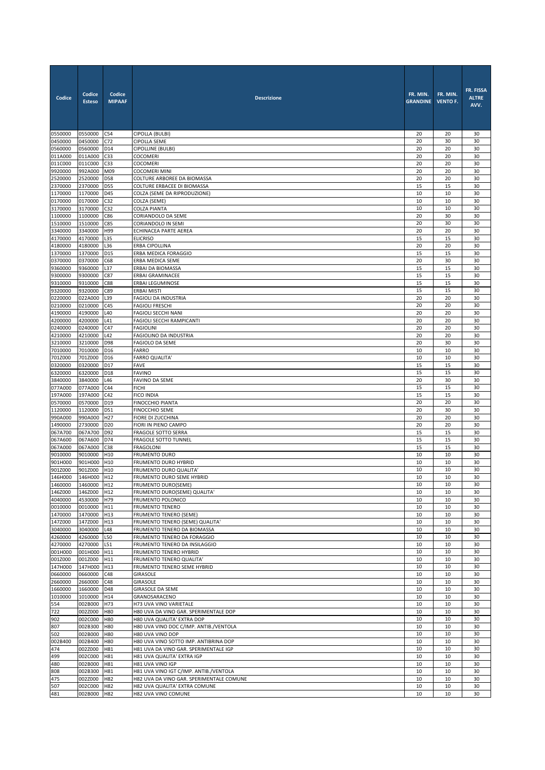| Codice             | Codice<br><b>Esteso</b> | Codice<br><b>MIPAAF</b>            | <b>Descrizione</b>                                             | FR. MIN.<br><b>GRANDINE</b> | FR. MIN.<br><b>VENTO F.</b> | FR. FISSA<br><b>ALTRE</b><br>AVV. |
|--------------------|-------------------------|------------------------------------|----------------------------------------------------------------|-----------------------------|-----------------------------|-----------------------------------|
| 0550000            | 0550000                 | C54                                | CIPOLLA (BULBI)                                                | 20                          | 20                          | 30                                |
| 0450000            | 0450000                 | C72                                | <b>CIPOLLA SEME</b>                                            | 20                          | 30                          | 30                                |
| 0560000            | 0560000<br>011A000      | D14                                | CIPOLLINE (BULBI)                                              | 20                          | 20                          | 30                                |
| 011A000<br>011C000 | 011C000                 | C33<br>C <sub>33</sub>             | <b>COCOMERI</b><br><b>COCOMERI</b>                             | 20<br>20                    | 20<br>20                    | 30<br>30                          |
| 9920000            | 992A000                 | M09                                | <b>COCOMERI MINI</b>                                           | 20                          | 20                          | 30                                |
| 2520000            | 2520000                 | D58                                | COLTURE ARBOREE DA BIOMASSA                                    | 20                          | 20                          | 30                                |
| 2370000            | 2370000                 | D55                                | COLTURE ERBACEE DI BIOMASSA                                    | 15                          | 15                          | 30                                |
| 1170000            | 1170000                 | D45                                | COLZA (SEME DA RIPRODUZIONE)                                   | 10                          | 10                          | 30                                |
| 0170000            | 0170000                 | C32                                | COLZA (SEME)                                                   | 10                          | 10                          | 30                                |
| 3170000            | 3170000                 | C32                                | COLZA PIANTA                                                   | 10                          | 10                          | 30                                |
| 1100000<br>1510000 | 1100000<br>1510000      | C86<br>C85                         | CORIANDOLO DA SEME<br>CORIANDOLO IN SEMI                       | 20<br>20                    | 30<br>30                    | 30<br>30                          |
| 3340000            | 3340000                 | H99                                | ECHINACEA PARTE AEREA                                          | 20                          | 20                          | 30                                |
| 4170000            | 4170000                 | L35                                | <b>ELICRISO</b>                                                | 15                          | 15                          | 30                                |
| 4180000            | 4180000                 | L36                                | <b>ERBA CIPOLLINA</b>                                          | 20                          | 20                          | 30                                |
| 1370000            | 1370000                 | D15                                | ERBA MEDICA FORAGGIO                                           | 15                          | 15                          | 30                                |
| 0370000            | 0370000                 | C68                                | ERBA MEDICA SEME                                               | 20                          | 30                          | 30                                |
| 9360000            | 9360000                 | L37                                | ERBAI DA BIOMASSA                                              | 15                          | 15                          | 30                                |
| 9300000            | 9300000                 | C87                                | <b>ERBAI GRAMINACEE</b>                                        | 15                          | 15                          | 30                                |
| 9310000<br>9320000 | 9310000<br>9320000      | C88<br>C89                         | <b>ERBAI LEGUMINOSE</b><br><b>ERBAI MISTI</b>                  | 15<br>15                    | 15<br>15                    | 30<br>30                          |
| 0220000            | 022A000                 | L39                                | <b>FAGIOLI DA INDUSTRIA</b>                                    | 20                          | 20                          | 30                                |
| 0210000            | 0210000                 | C45                                | <b>FAGIOLI FRESCHI</b>                                         | 20                          | 20                          | 30                                |
| 4190000            | 4190000                 | L40                                | FAGIOLI SECCHI NANI                                            | 20                          | 20                          | 30                                |
| 4200000            | 4200000                 | L41                                | FAGIOLI SECCHI RAMPICANTI                                      | 20                          | 20                          | 30                                |
| 0240000            | 0240000                 | C47                                | <b>FAGIOLINI</b>                                               | 20                          | 20                          | 30                                |
| 4210000            | 4210000                 | L42                                | FAGIOLINO DA INDUSTRIA                                         | 20                          | 20                          | 30                                |
| 3210000            | 3210000                 | D98                                | FAGIOLO DA SEME                                                | 20                          | 30                          | 30                                |
| 7010000<br>701Z000 | 7010000<br>701Z000      | D <sub>16</sub><br>D <sub>16</sub> | <b>FARRO</b><br><b>FARRO QUALITA'</b>                          | 10<br>10                    | 10<br>10                    | 30<br>30                          |
| 0320000            | 0320000                 | D17                                | <b>FAVE</b>                                                    | 15                          | 15                          | 30                                |
| 6320000            | 6320000                 | D18                                | <b>FAVINO</b>                                                  | 15                          | 15                          | 30                                |
| 3840000            | 3840000                 | L46                                | FAVINO DA SEME                                                 | 20                          | 30                          | 30                                |
| 077A000            | 077A000                 | C44                                | <b>FICHI</b>                                                   | 15                          | 15                          | 30                                |
| 197A000            | 197A000                 | C42                                | FICO INDIA                                                     | 15                          | 15                          | 30                                |
| 0570000            | 0570000                 | D19                                | <b>FINOCCHIO PIANTA</b>                                        | 20<br>20                    | 20<br>30                    | 30<br>30                          |
| 1120000<br>990A000 | 1120000<br>990A000      | D51<br>H <sub>27</sub>             | <b>FINOCCHIO SEME</b><br>FIORE DI ZUCCHINA                     | 20                          | 20                          | 30                                |
| 1490000            | 2730000                 | D <sub>20</sub>                    | FIORI IN PIENO CAMPO                                           | 20                          | 20                          | 30                                |
| 067A700            | 067A700                 | D92                                | FRAGOLE SOTTO SERRA                                            | 15                          | 15                          | 30                                |
| 067A600            | 067A600                 | D74                                | <b>FRAGOLE SOTTO TUNNEL</b>                                    | 15                          | 15                          | 30                                |
| 067A000            | 067A000                 | C38                                | <b>FRAGOLONI</b>                                               | 15                          | 15                          | 30                                |
| 9010000            | 9010000                 | H <sub>10</sub>                    | <b>FRUMENTO DURO</b>                                           | 10                          | 10                          | 30                                |
| 901H000<br>901Z000 | 901H000                 | H10                                | FRUMENTO DURO HYBRID                                           | 10<br>10                    | 10<br>10                    | 30<br>30                          |
| 146H000            | 901Z000<br>146H000 H12  | H10                                | FRUMENTO DURO QUALITA'<br>FRUMENTO DURO SEME HYBRID            | 10                          | 10                          | 30                                |
| 1460000            | 1460000                 | H <sub>12</sub>                    | FRUMENTO DURO(SEME)                                            | 10                          | 10                          | 30                                |
| 146Z000            | 146Z000                 | H12                                | FRUMENTO DURO(SEME) QUALITA'                                   | 10                          | 10                          | 30                                |
| 4040000            | 4530000 H79             |                                    | FRUMENTO POLONICO                                              | 10                          | 10                          | 30                                |
| 0010000            | 0010000                 | H11                                | <b>FRUMENTO TENERO</b>                                         | 10                          | 10                          | 30                                |
| 1470000            | 1470000                 | H13                                | FRUMENTO TENERO (SEME)                                         | 10                          | 10                          | 30                                |
| 147Z000<br>3040000 | 147Z000<br>3040000      | H13<br>L48                         | FRUMENTO TENERO (SEME) QUALITA'<br>FRUMENTO TENERO DA BIOMASSA | 10<br>10                    | 10<br>10                    | 30<br>30                          |
| 4260000            | 4260000                 | L50                                | FRUMENTO TENERO DA FORAGGIO                                    | 10                          | 10                          | 30                                |
| 4270000            | 4270000                 | L51                                | FRUMENTO TENERO DA INSILAGGIO                                  | 10                          | 10                          | 30                                |
| 001H000            | 001H000 H11             |                                    | FRUMENTO TENERO HYBRID                                         | 10                          | 10                          | 30                                |
| 001Z000            | 001Z000                 | H11                                | FRUMENTO TENERO QUALITA'                                       | 10                          | 10                          | 30                                |
| 147H000            | 147H000                 | H13                                | FRUMENTO TENERO SEME HYBRID                                    | 10                          | 10                          | 30                                |
| 0660000            | 0660000<br>2660000      | C48                                | <b>GIRASOLE</b>                                                | 10                          | 10                          | 30                                |
| 2660000<br>1660000 | 1660000                 | C48<br>D48                         | GIRASOLE<br><b>GIRASOLE DA SEME</b>                            | 10<br>10                    | 10<br>10                    | 30<br>30                          |
| 1010000            | 1010000                 | H14                                | GRANOSARACENO                                                  | 10                          | 10                          | 30                                |
| 554                | 002B000                 | H73                                | H73 UVA VINO VARIETALE                                         | 10                          | 10                          | 30                                |
| 722                | 002Z000                 | <b>H80</b>                         | H80 UVA DA VINO GAR. SPERIMENTALE DOP                          | 10                          | 10                          | 30                                |
| 902                | 002C000                 | <b>H80</b>                         | H80 UVA QUALITA' EXTRA DOP                                     | 10                          | 10                          | 30                                |
| 807                | 002B300                 | <b>H80</b>                         | H80 UVA VINO DOC C/IMP. ANTIB./VENTOLA                         | 10                          | 10                          | 30                                |
| 502<br>002B400     | 002B000<br>002B400      | H80<br>H80                         | H80 UVA VINO DOP<br>H80 UVA VINO SOTTO IMP. ANTIBRINA DOP      | 10<br>10                    | 10<br>10                    | 30<br>30                          |
| 474                | 002Z000                 | H81                                | H81 UVA DA VINO GAR. SPERIMENTALE IGP                          | 10                          | 10                          | 30                                |
| 499                | 002C000                 | H81                                | H81 UVA QUALITA' EXTRA IGP                                     | 10                          | 10                          | 30                                |
| 480                | 002B000 H81             |                                    | H81 UVA VINO IGP                                               | 10                          | 10                          | 30                                |
| 808                | 002B300                 | H81                                | H81 UVA VINO IGT C/IMP. ANTIB./VENTOLA                         | 10                          | 10                          | 30                                |
| 475                | 002Z000                 | H82                                | H82 UVA DA VINO GAR. SPERIMENTALE COMUNE                       | 10                          | 10                          | 30                                |
| 507                | 002C000 H82             |                                    | H82 UVA QUALITA' EXTRA COMUNE                                  | 10                          | 10                          | 30                                |
| 481                | 002B000 H82             |                                    | H82 UVA VINO COMUNE                                            | 10                          | 10                          | 30                                |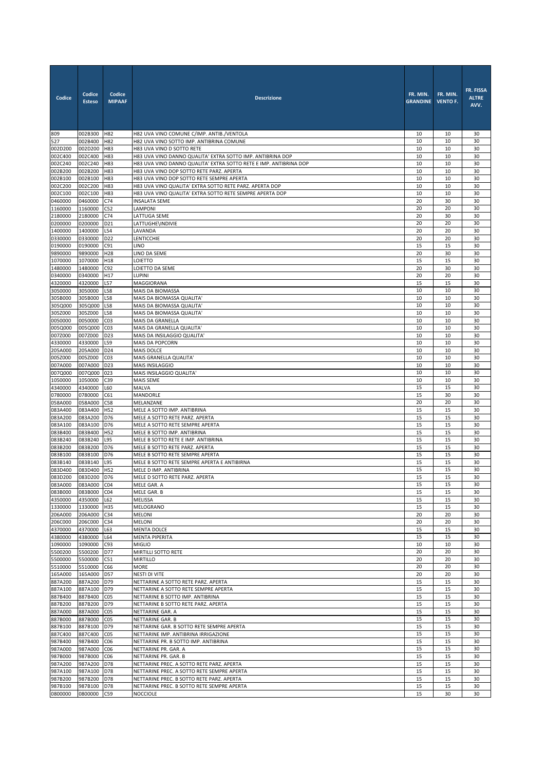| Codice             | Codice<br><b>Esteso</b> | Codice<br><b>MIPAAF</b> | <b>Descrizione</b>                                                                      | FR. MIN.<br><b>GRANDINE</b> | FR. MIN.<br><b>VENTO F.</b> | FR. FISSA<br><b>ALTRE</b><br>AVV. |
|--------------------|-------------------------|-------------------------|-----------------------------------------------------------------------------------------|-----------------------------|-----------------------------|-----------------------------------|
| 809                | 002B300                 | <b>H82</b>              | H82 UVA VINO COMUNE C/IMP. ANTIB./VENTOLA                                               | 10                          | 10                          | 30                                |
| 527                | 002B400                 | H82                     | H82 UVA VINO SOTTO IMP. ANTIBRINA COMUNE                                                | 10<br>10                    | 10<br>10                    | 30<br>30                          |
| 002D200<br>002C400 | 002D200<br>002C400      | H83<br><b>H83</b>       | H83 UVA VINO D SOTTO RETE<br>H83 UVA VINO DANNO QUALITA' EXTRA SOTTO IMP. ANTIBRINA DOP | 10                          | 10                          | 30                                |
| 002C240            | 002C240                 | <b>H83</b>              | H83 UVA VINO DANNO QUALITA' EXTRA SOTTO RETE E IMP. ANTIBRINA DOP                       | 10                          | 10                          | 30                                |
| 002B200            | 002B200 H83             |                         | H83 UVA VINO DOP SOTTO RETE PARZ. APERTA                                                | 10                          | 10                          | 30                                |
| 002B100            | 002B100                 | H83                     | H83 UVA VINO DOP SOTTO RETE SEMPRE APERTA                                               | 10                          | 10                          | 30                                |
| 002C200            | 002C200                 | H83                     | H83 UVA VINO QUALITA' EXTRA SOTTO RETE PARZ. APERTA DOP                                 | 10                          | 10                          | 30                                |
| 002C100            | 002C100                 | H83                     | H83 UVA VINO QUALITA' EXTRA SOTTO RETE SEMPRE APERTA DOP                                | 10                          | 10                          | 30                                |
| 0460000<br>1160000 | 0460000                 | C74                     | <b>INSALATA SEME</b>                                                                    | 20<br>20                    | 30<br>20                    | 30<br>30                          |
| 2180000            | 1160000<br>2180000      | C52<br>C74              | LAMPONI<br>LATTUGA SEME                                                                 | 20                          | 30                          | 30                                |
| 0200000            | 0200000                 | D21                     | LATTUGHE\INDIVIE                                                                        | 20                          | 20                          | 30                                |
| 1400000            | 1400000                 | L54                     | LAVANDA                                                                                 | 20                          | 20                          | 30                                |
| 0330000            | 0330000                 | D <sub>22</sub>         | LENTICCHIE                                                                              | 20                          | 20                          | 30                                |
| 0190000            | 0190000                 | C91                     | <b>LINO</b>                                                                             | 15                          | 15                          | 30                                |
| 9890000            | 9890000                 | H <sub>28</sub>         | LINO DA SEME                                                                            | 20                          | 30                          | 30                                |
| 1070000<br>1480000 | 1070000<br>1480000      | H18<br>C92              | LOIETTO<br>LOIETTO DA SEME                                                              | 15<br>20                    | 15<br>30                    | 30<br>30                          |
| 0340000            | 0340000                 | H17                     | <b>LUPINI</b>                                                                           | 20                          | 20                          | 30                                |
| 4320000            | 4320000                 | L57                     | <b>MAGGIORANA</b>                                                                       | 15                          | 15                          | 30                                |
| 3050000            | 3050000                 | L58                     | MAIS DA BIOMASSA                                                                        | 10                          | 10                          | 30                                |
| 305B000            | 305B000                 | L58                     | MAIS DA BIOMASSA QUALITA'                                                               | 10                          | 10                          | 30                                |
| 305Q000<br>305Z000 | 305Q000                 | L58                     | MAIS DA BIOMASSA QUALITA'                                                               | 10<br>10                    | 10<br>10                    | 30<br>30                          |
| 0050000            | 305Z000<br>0050000      | L58<br>CO <sub>3</sub>  | MAIS DA BIOMASSA QUALITA'<br>MAIS DA GRANELLA                                           | 10                          | 10                          | 30                                |
| 005Q000            | 005Q000                 | C <sub>03</sub>         | MAIS DA GRANELLA QUALITA'                                                               | 10                          | 10                          | 30                                |
| 007Z000            | 007Z000                 | D <sub>23</sub>         | MAIS DA INSILAGGIO QUALITA'                                                             | 10                          | 10                          | 30                                |
| 4330000            | 4330000                 | L59                     | MAIS DA POPCORN                                                                         | 10                          | 10                          | 30                                |
| 205A000            | 205A000                 | D <sub>24</sub>         | MAIS DOLCE                                                                              | 10                          | 10                          | 30                                |
| 005Z000<br>007A000 | 005Z000<br>007A000 D23  | CO <sub>3</sub>         | MAIS GRANELLA QUALITA'<br>MAIS INSILAGGIO                                               | 10<br>10                    | 10<br>10                    | 30<br>30                          |
| 007Q000            | 007Q000                 | 023                     | MAIS INSILAGGIO QUALITA'                                                                | 10                          | 10                          | 30                                |
| 1050000            | 1050000                 | C39                     | <b>MAIS SEME</b>                                                                        | 10                          | 10                          | 30                                |
| 4340000            | 4340000                 | L60                     | MALVA                                                                                   | 15                          | 15                          | 30                                |
| 0780000            | 0780000                 | C61                     | MANDORLE                                                                                | 15                          | 30                          | 30                                |
| 058A000<br>083A400 | 058A000<br>083A400      | C58<br>H52              | MELANZANE<br>MELE A SOTTO IMP. ANTIBRINA                                                | 20<br>15                    | 20<br>15                    | 30<br>30                          |
| 083A200            | 083A200 D76             |                         | MELE A SOTTO RETE PARZ. APERTA                                                          | 15                          | 15                          | 30                                |
| 083A100            | 083A100                 | D76                     | MELE A SOTTO RETE SEMPRE APERTA                                                         | 15                          | 15                          | 30                                |
| 083B400            | 083B400                 | H52                     | MELE B SOTTO IMP. ANTIBRINA                                                             | 15                          | 15                          | 30                                |
| 083B240            | 083B240                 | L95                     | MELE B SOTTO RETE E IMP. ANTIBRINA                                                      | 15                          | 15                          | 30                                |
| 083B200<br>083B100 | 083B200<br>083B100      | D76<br>D76              | MELE B SOTTO RETE PARZ. APERTA<br>MELE B SOTTO RETE SEMPRE APERTA                       | 15<br>15                    | 15<br>15                    | 30<br>30                          |
| 083B140            | 083B140 L95             |                         | MELE B SOTTO RETE SEMPRE APERTA E ANTIBIRNA                                             | 15                          | 15                          | 30                                |
| 083D400            | 083D400 H52             |                         | MELE D IMP. ANTIBRINA                                                                   | 15                          | 15                          | 30                                |
| 083D200            | 083D200 D76             |                         | MELE D SOTTO RETE PARZ. APERTA                                                          | 15                          | 15                          | 30                                |
| 083A000            | 083A000 C04             |                         | MELE GAR. A                                                                             | 15                          | 15                          | 30                                |
| 083B000            | 083B000<br>4350000      | CO <sub>4</sub>         | MELE GAR. B                                                                             | 15<br>15                    | 15<br>15                    | 30<br>30                          |
| 4350000<br>1330000 | 1330000                 | L62<br>H35              | MELISSA<br>MELOGRANO                                                                    | 15                          | 15                          | 30                                |
| 206A000            | 206A000                 | C <sub>34</sub>         | <b>MELONI</b>                                                                           | 20                          | 20                          | 30                                |
| <b>206C000</b>     | 206C000                 | C34                     | <b>MELONI</b>                                                                           | 20                          | 20                          | 30                                |
| 4370000            | 4370000                 | L63                     | MENTA DOLCE                                                                             | 15                          | 15                          | 30                                |
| 4380000            | 4380000                 | L64                     | <b>MENTA PIPERITA</b><br><b>MIGLIO</b>                                                  | 15                          | 15                          | 30                                |
| 1090000<br>5500200 | 1090000<br>5500200 D77  | C93                     | MIRTILLI SOTTO RETE                                                                     | 10<br>20                    | 10<br>20                    | 30<br>30                          |
| 5500000            | 5500000                 | C51                     | <b>MIRTILLO</b>                                                                         | 20                          | 20                          | 30                                |
| 5510000            | 5510000                 | C66                     | <b>MORE</b>                                                                             | 20                          | 20                          | 30                                |
| 165A000            | 165A000 D57             |                         | NESTI DI VITE                                                                           | 20                          | 20                          | 30                                |
| 887A200            | 887A200                 | D79                     | NETTARINE A SOTTO RETE PARZ. APERTA                                                     | 15                          | 15                          | 30                                |
| 887A100<br>887B400 | 887A100<br>887B400      | D79<br>CO <sub>5</sub>  | NETTARINE A SOTTO RETE SEMPRE APERTA<br>NETTARINE B SOTTO IMP. ANTIBRINA                | 15<br>15                    | 15<br>15                    | 30<br>30                          |
| 887B200            | 887B200                 | D79                     | NETTARINE B SOTTO RETE PARZ. APERTA                                                     | 15                          | 15                          | 30                                |
| 887A000            | 887A000                 | CO <sub>5</sub>         | NETTARINE GAR. A                                                                        | 15                          | 15                          | 30                                |
| 887B000            | 887B000                 | C <sub>0</sub> 5        | NETTARINE GAR. B                                                                        | 15                          | 15                          | 30                                |
| 887B100            | 887B100 D79             |                         | NETTARINE GAR. B SOTTO RETE SEMPRE APERTA                                               | 15                          | 15                          | 30                                |
| 887C400<br>987B400 | 887C400<br>987B400      | CO <sub>5</sub><br>CO6  | NETTARINE IMP. ANTIBRINA IRRIGAZIONE<br>NETTARINE PR. B SOTTO IMP. ANTIBRINA            | 15<br>15                    | 15<br>15                    | 30<br>30                          |
| 987A000            | 987A000                 | C <sub>06</sub>         | NETTARINE PR. GAR. A                                                                    | 15                          | 15                          | 30                                |
| 987B000            | 987B000                 | CO6                     | NETTARINE PR. GAR. B                                                                    | 15                          | 15                          | 30                                |
| 987A200            | 987A200                 | D78                     | NETTARINE PREC. A SOTTO RETE PARZ. APERTA                                               | 15                          | 15                          | 30                                |
| 987A100            | 987A100 D78             |                         | NETTARINE PREC. A SOTTO RETE SEMPRE APERTA                                              | 15                          | 15                          | 30                                |
| 987B200<br>987B100 | 987B200 D78<br>987B100  | D78                     | NETTARINE PREC. B SOTTO RETE PARZ. APERTA<br>NETTARINE PREC. B SOTTO RETE SEMPRE APERTA | 15<br>15                    | 15<br>15                    | 30<br>30                          |
| 0800000            | 0800000                 | C59                     | <b>NOCCIOLE</b>                                                                         | 15                          | 30                          | 30                                |
|                    |                         |                         |                                                                                         |                             |                             |                                   |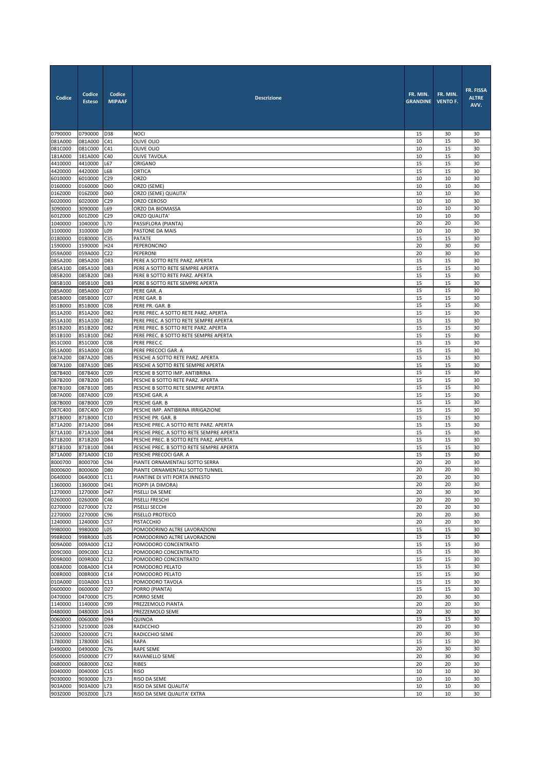| Codice             | Codice<br><b>Esteso</b> | Codice<br><b>MIPAAF</b> | <b>Descrizione</b>                                                                | FR. MIN.<br><b>GRANDINE</b> | FR. MIN.<br><b>VENTO F.</b> | FR. FISSA<br><b>ALTRE</b><br>AVV. |
|--------------------|-------------------------|-------------------------|-----------------------------------------------------------------------------------|-----------------------------|-----------------------------|-----------------------------------|
| 0790000            | 0790000                 | D38                     | <b>NOCI</b>                                                                       | 15                          | 30                          | 30                                |
| 081A000            | 081A000                 | C41                     | OLIVE OLIO                                                                        | 10                          | 15                          | 30                                |
| 081C000<br>181A000 | 081C000                 | C41                     | OLIVE OLIO                                                                        | 10                          | 15                          | 30                                |
| 4410000            | 181A000<br>4410000      | C40<br>L67              | <b>OLIVE TAVOLA</b><br>ORIGANO                                                    | 10<br>15                    | 15<br>15                    | 30<br>30                          |
| 4420000            | 4420000                 | L68                     | <b>ORTICA</b>                                                                     | 15                          | 15                          | 30                                |
| 6010000            | 6010000                 | C29                     | ORZO                                                                              | 10                          | 10                          | 30                                |
| 0160000            | 0160000                 | D60                     | ORZO (SEME)                                                                       | 10                          | 10                          | 30                                |
| 016Z000            | 016Z000                 | D60                     | ORZO (SEME) QUALITA'                                                              | 10                          | 10                          | 30                                |
| 6020000            | 6020000                 | C29                     | ORZO CEROSO                                                                       | 10                          | 10                          | 30                                |
| 3090000<br>601Z000 | 3090000                 | L69                     | ORZO DA BIOMASSA<br>ORZO QUALITA'                                                 | 10<br>10                    | 10<br>10                    | 30<br>30                          |
| 1040000            | 601Z000<br>1040000      | C29<br>L70              | PASSIFLORA (PIANTA)                                                               | 20                          | 20                          | 30                                |
| 3100000            | 3100000                 | L09                     | PASTONE DA MAIS                                                                   | 10                          | 10                          | 30                                |
| 0180000            | 0180000                 | C35                     | PATATE                                                                            | 15                          | 15                          | 30                                |
| 1590000            | 1590000                 | H24                     | PEPERONCINO                                                                       | 20                          | 30                          | 30                                |
| 059A000            | 059A000                 | C <sub>22</sub>         | PEPERONI                                                                          | 20                          | 30                          | 30                                |
| 085A200            | 085A200 D83             |                         | PERE A SOTTO RETE PARZ. APERTA                                                    | 15                          | 15                          | 30                                |
| 085A100            | 085A100                 | D83                     | PERE A SOTTO RETE SEMPRE APERTA                                                   | 15                          | 15                          | 30                                |
| 085B200<br>085B100 | 085B200<br>085B100      | D83<br>D83              | PERE B SOTTO RETE PARZ. APERTA<br>PERE B SOTTO RETE SEMPRE APERTA                 | 15<br>15                    | 15<br>15                    | 30<br>30                          |
| 085A000            | 085A000                 | C <sub>07</sub>         | PERE GAR. A                                                                       | 15                          | 15                          | 30                                |
| 085B000            | 085B000                 | CO <sub>7</sub>         | PERE GAR. B                                                                       | 15                          | 15                          | 30                                |
| 851B000            | 851B000                 | CO8                     | PERE PR. GAR. B                                                                   | 15                          | 15                          | 30                                |
| 851A200            | 851A200                 | D82                     | PERE PREC. A SOTTO RETE PARZ. APERTA                                              | 15                          | 15                          | 30                                |
| 851A100            | 851A100                 | D82                     | PERE PREC. A SOTTO RETE SEMPRE APERTA                                             | 15                          | 15                          | 30                                |
| 851B200            | 851B200                 | D82                     | PERE PREC. B SOTTO RETE PARZ. APERTA                                              | 15                          | 15                          | 30                                |
| 851B100<br>851C000 | 851B100<br>851C000      | D82<br>CO8              | PERE PREC. B SOTTO RETE SEMPRE APERTA<br>PERE PREC.C                              | 15<br>15                    | 15<br>15                    | 30<br>30                          |
| 851A000            | 851A000                 | CO8                     | PERE PRECOCI GAR. A                                                               | 15                          | 15                          | 30                                |
| 087A200            | 087A200                 | D85                     | PESCHE A SOTTO RETE PARZ. APERTA                                                  | 15                          | 15                          | 30                                |
| 087A100            | 087A100                 | D85                     | PESCHE A SOTTO RETE SEMPRE APERTA                                                 | 15                          | 15                          | 30                                |
| 087B400            | 087B400                 | C09                     | PESCHE B SOTTO IMP. ANTIBRINA                                                     | 15                          | 15                          | 30                                |
| 087B200            | 087B200                 | D85<br>D85              | PESCHE B SOTTO RETE PARZ. APERTA<br>PESCHE B SOTTO RETE SEMPRE APERTA             | 15<br>15                    | 15<br>15                    | 30<br>30                          |
| 087B100<br>087A000 | 087B100<br>087A000      | CO <sub>9</sub>         | PESCHE GAR. A                                                                     | 15                          | 15                          | 30                                |
| 087B000            | 087B000                 | C09                     | PESCHE GAR. B                                                                     | 15                          | 15                          | 30                                |
| 087C400            | 087C400                 | C <sub>0</sub>          | PESCHE IMP. ANTIBRINA IRRIGAZIONE                                                 | 15                          | 15                          | 30                                |
| 871B000            | 871B000                 | C10                     | PESCHE PR. GAR. B                                                                 | 15                          | 15                          | 30                                |
| 871A200            | 871A200                 | D84                     | PESCHE PREC. A SOTTO RETE PARZ. APERTA                                            | 15                          | 15                          | 30                                |
| 871A100            | 871A100                 | D84                     | PESCHE PREC. A SOTTO RETE SEMPRE APERTA<br>PESCHE PREC. B SOTTO RETE PARZ. APERTA | 15<br>15                    | 15<br>15                    | 30<br>30                          |
| 871B200<br>871B100 | 871B200<br>871B100      | D84<br>D84              | PESCHE PREC. B SOTTO RETE SEMPRE APERTA                                           | 15                          | 15                          | 30                                |
| 871A000            | 871A000                 | C10                     | PESCHE PRECOCI GAR. A                                                             | 15                          | 15                          | 30                                |
| 8000700            | 8000700                 | C94                     | PIANTE ORNAMENTALI SOTTO SERRA                                                    | 20                          | 20                          | 30                                |
| 8000600            | 8000600                 | D80                     | PIANTE ORNAMENTALI SOTTO TUNNEL                                                   | 20                          | 20                          | 30                                |
| 0640000            | 0640000 C11             |                         | PIANTINE DI VITI PORTA INNESTO                                                    | 20                          | ZU                          | 30                                |
| 1360000            | 1360000                 | D41                     | PIOPPI (A DIMORA)                                                                 | 20                          | 20                          | 30                                |
| 1270000<br>0260000 | 1270000                 | D47                     | PISELLI DA SEME<br>PISELLI FRESCHI                                                | 20<br>20                    | 30<br>20                    | 30<br>30                          |
| 0270000            | 0260000<br>0270000      | C46<br>L72              | PISELLI SECCHI                                                                    | 20                          | 20                          | 30                                |
| 2270000            | 2270000                 | C96                     | PISELLO PROTEICO                                                                  | 20                          | 20                          | 30                                |
| 1240000            | 1240000                 | C57                     | PISTACCHIO                                                                        | 20                          | 20                          | 30                                |
| 9980000            | 9980000                 | L05                     | POMODORINO ALTRE LAVORAZIONI                                                      | 15                          | 15                          | 30                                |
| 998R000<br>009A000 | 998R000<br>009A000      | L05<br>C12              | POMODORINO ALTRE LAVORAZIONI<br>POMODORO CONCENTRATO                              | 15<br>15                    | 15<br>15                    | 30<br>30                          |
| 009C000            | 009C000                 | C12                     | POMODORO CONCENTRATO                                                              | 15                          | 15                          | 30                                |
| 009R000            | 009R000                 | C12                     | POMODORO CONCENTRATO                                                              | 15                          | 15                          | 30                                |
| 008A000            | 008A000                 | C14                     | POMODORO PELATO                                                                   | 15                          | 15                          | 30                                |
| 008R000            | 008R000                 | C14                     | POMODORO PELATO                                                                   | 15                          | 15                          | 30                                |
| 010A000            | 010A000                 | C13                     | POMODORO TAVOLA                                                                   | 15                          | 15                          | 30                                |
| 0600000            | 0600000                 | D27                     | PORRO (PIANTA)                                                                    | 15                          | 15                          | 30                                |
| 0470000<br>1140000 | 0470000<br>1140000      | C75<br>C99              | PORRO SEME<br>PREZZEMOLO PIANTA                                                   | 20<br>20                    | 30<br>20                    | 30<br>30                          |
| 0480000            | 0480000                 | D43                     | PREZZEMOLO SEME                                                                   | 20                          | 30                          | 30                                |
| 0060000            | 0060000                 | D94                     | QUINOA                                                                            | 15                          | 15                          | 30                                |
| 5210000            | 5210000                 | D28                     | <b>RADICCHIO</b>                                                                  | 20                          | 20                          | 30                                |
| 5200000            | 5200000                 | C71                     | RADICCHIO SEME                                                                    | 20                          | 30                          | 30                                |
| 1780000            | 1780000                 | D61                     | <b>RAPA</b>                                                                       | 15                          | 15                          | 30                                |
| 0490000<br>0500000 | 0490000<br>0500000      | C76<br>C77              | RAPE SEME<br>RAVANELLO SEME                                                       | 20<br>20                    | 30<br>30                    | 30<br>30                          |
| 0680000            | 0680000                 | C62                     | <b>RIBES</b>                                                                      | 20                          | 20                          | 30                                |
| 0040000            | 0040000                 | C15                     | <b>RISO</b>                                                                       | 10                          | 10                          | 30                                |
| 9030000            | 9030000                 | L73                     | RISO DA SEME                                                                      | 10                          | 10                          | 30                                |
| 903A000            | 903A000                 | L73                     | RISO DA SEME QUALITA'                                                             | 10                          | 10                          | 30                                |
| 903Z000            | 903Z000                 | L73                     | RISO DA SEME QUALITA' EXTRA                                                       | 10                          | 10                          | 30                                |